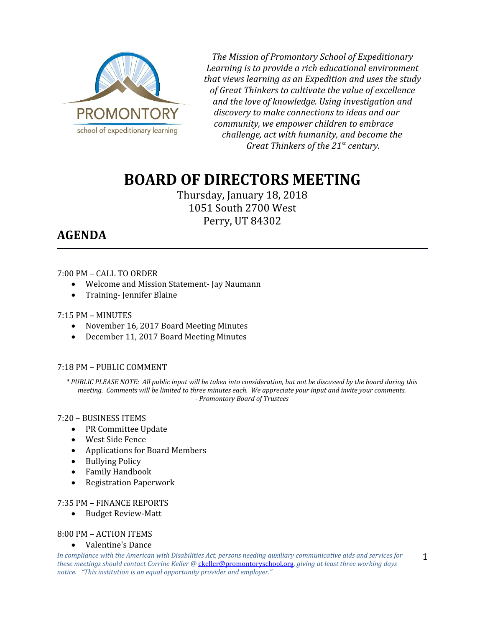

*The Mission of Promontory School of Expeditionary Learning is to provide a rich educational environment that views learning as an Expedition and uses the study of Great Thinkers to cultivate the value of excellence and the love of knowledge. Using investigation and discovery to make connections to ideas and our community, we empower children to embrace challenge, act with humanity, and become the Great Thinkers of the 21st century.*

# **BOARD OF DIRECTORS MEETING**

Thursday, January 18, 2018 1051 South 2700 West Perry, UT 84302

# **AGENDA**

# 7:00 PM – CALL TO ORDER

- Welcome and Mission Statement- Jay Naumann
- Training-Jennifer Blaine

# 7:15 PM – MINUTES

- November 16, 2017 Board Meeting Minutes
- December 11, 2017 Board Meeting Minutes

# 7:18 PM – PUBLIC COMMENT

*\* PUBLIC PLEASE NOTE: All public input will be taken into consideration, but not be discussed by the board during this meeting. Comments will be limited to three minutes each. We appreciate your input and invite your comments. - Promontory Board of Trustees*

# 7:20 – BUSINESS ITEMS

- PR Committee Update
- West Side Fence
- Applications for Board Members
- Bullying Policy
- Family Handbook
- Registration Paperwork

# 7:35 PM – FINANCE REPORTS

Budget Review-Matt

# 8:00 PM – ACTION ITEMS

Valentine's Dance

*In compliance with the American with Disabilities Act, persons needing auxiliary communicative aids and services for these meetings should contact Corrine Keller @* [ckeller@promontoryschool.org](mailto:ckeller@promontoryschool.org)*, giving at least three working days notice. "This institution is an equal opportunity provider and employer."* 1